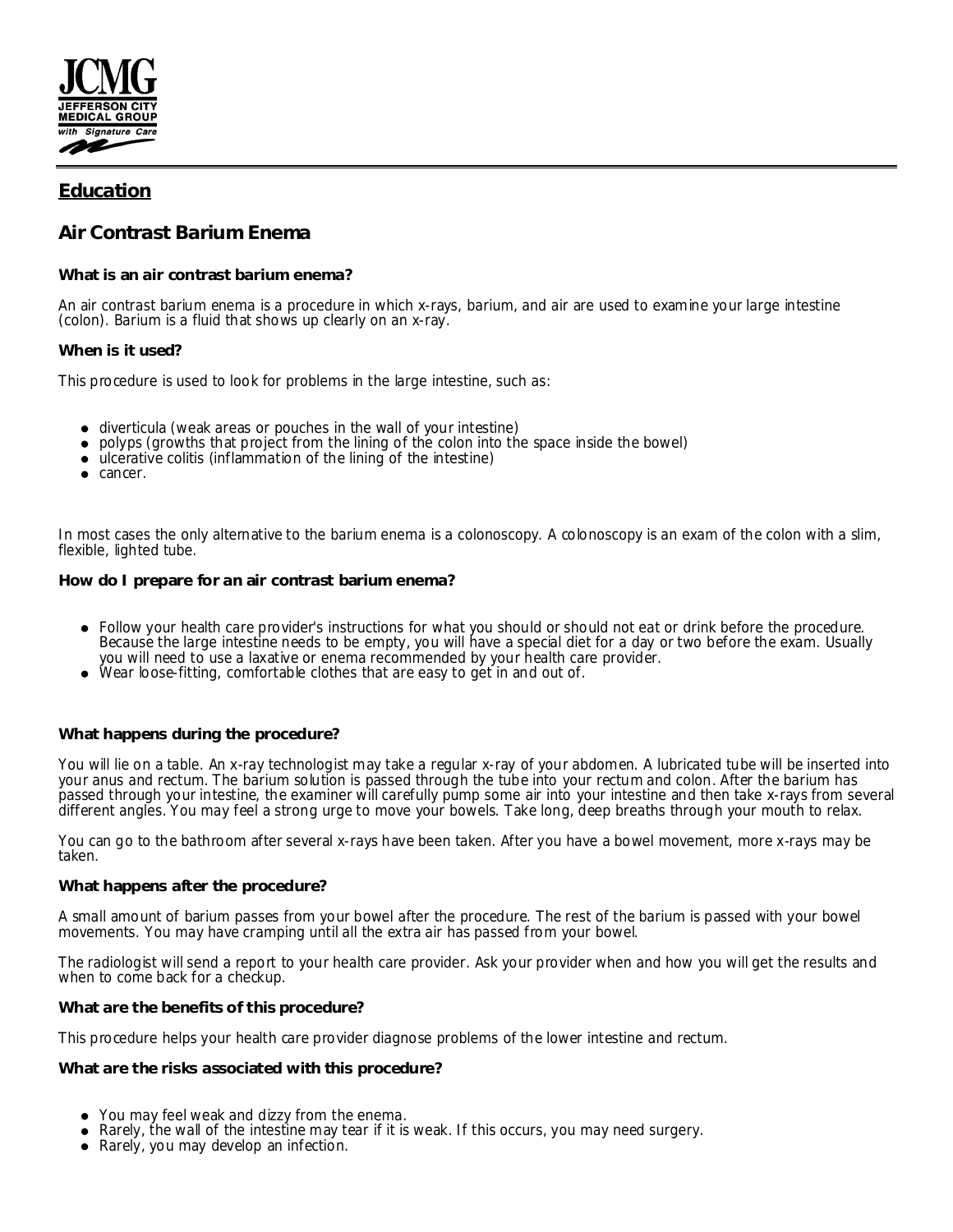

## **Education**

## **Air Contrast Barium Enema**

**What is an air contrast barium enema?**

An air contrast barium enema is a procedure in which x-rays, barium, and air are used to examine your large intestine (colon). Barium is a fluid that shows up clearly on an x-ray.

**When is it used?**

This procedure is used to look for problems in the large intestine, such as:

- diverticula (weak areas or pouches in the wall of your intestine)
- polyps (growths that project from the lining of the colon into the space inside the bowel)
- ulcerative colitis (inflammation of the lining of the intestine)
- cancer.

In most cases the only alternative to the barium enema is a colonoscopy. A colonoscopy is an exam of the colon with a slim, flexible, lighted tube.

**How do I prepare for an air contrast barium enema?**

- Follow your health care provider's instructions for what you should or should not eat or drink before the procedure. Because the large intestine needs to be empty, you will have a special diet for a day or two before the exam. Usually you will need to use a laxative or enema recommended by your health care provider.
- Wear loose-fitting, comfortable clothes that are easy to get in and out of.

## **What happens during the procedure?**

You will lie on a table. An x-ray technologist may take a regular x-ray of your abdomen. A lubricated tube will be inserted into your anus and rectum. The barium solution is passed through the tube into your rectum and colon. After the barium has passed through your intestine, the examiner will carefully pump some air into your intestine and then take x-rays from several different angles. You may feel a strong urge to move your bowels. Take long, deep breaths through your mouth to relax.

You can go to the bathroom after several x-rays have been taken. After you have a bowel movement, more x-rays may be taken.

## **What happens after the procedure?**

A small amount of barium passes from your bowel after the procedure. The rest of the barium is passed with your bowel movements. You may have cramping until all the extra air has passed from your bowel.

The radiologist will send a report to your health care provider. Ask your provider when and how you will get the results and when to come back for a checkup.

**What are the benefits of this procedure?**

This procedure helps your health care provider diagnose problems of the lower intestine and rectum.

**What are the risks associated with this procedure?**

- You may feel weak and dizzy from the enema.
- $\bullet$  Rarely, the wall of the intestine may tear if it is weak. If this occurs, you may need surgery.
- Rarely, you may develop an infection.